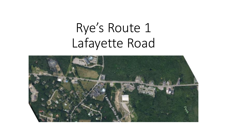# Rye's Route 1 Lafayette Road

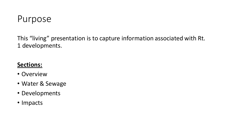

This "living" presentation is to capture information associated with Rt. 1 developments.

### **Sections:**

- Overview
- Water & Sewage
- Developments
- Impacts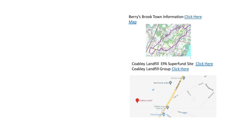Berry's Brook Town Information Click Here **Map** 



Coakley Landfill EPA Superfund Site Click Here Coakley Landfill Group Click Here

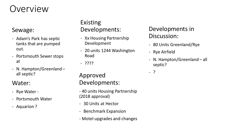## Overview

#### Sewage:

- Adam's Park has septic tanks that are pumped out.
- Portsmouth Sewer stops at
- N. Hampton/Greenland all septic?

#### Water:

- Rye Water -
- Portsmouth Water
- Aquarion ?

### Existing Developments:

- Xx Housing Partnership Development
- 20 units 1244 Washington Road
- ????

Approved Developments:

- 40 units Housing Partnership (2018 approval)
- 30 Units at Hector
- Benchmark Expansion
- Motel upgrades and changes

### Developments in Discussion:

- 80 Units Greenland/Rye
- Rye Airfield
- N. Hampton/Greenland all septic?

- ?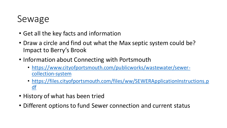## Sewage

- Get all the key facts and information
- Draw a circle and find out what the Max septic system could be? Impact to Berry's Brook
- Information about Connecting with Portsmouth
	- https://www.cityofportsmouth.com/publicworks/wastewater/sewercollection-system
	- https://files.cityofportsmouth.com/files/ww/SEWERApplicationInstructions.p df
- History of what has been tried
- Different options to fund Sewer connection and current status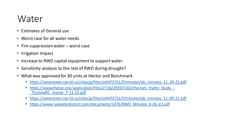### Water

- Estimates of General use
- Worst case for all water needs
- Fire suppression water worst case
- Irrigation Impact
- Increase to RWD capital equipment to support water
- Sensitivity analysis to the rest of RWD during drought?
- What was approved for 30 units at Hector and Benchmark
	- https://www.town.rye.nh.us/sites/g/files/vyhlif3751/f/minutes/pb\_minutes\_11-30-21.pdf
	- https://www.therpc.org/application/files/2716/2939/5302/Hectors Hydro Study -\_TruslowRC\_review\_7-11-21.pdf
	- https://www.town.rye.nh.us/sites/g/files/vyhlif3751/f/minutes/pb\_minutes\_11-09-21.pdf
	- https://www.ryewaterdistrict.com/documents/1076/RWD\_Minutes\_4-06-22.pdf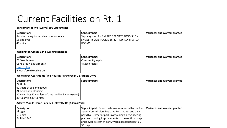## Current Facilities on Rt. 1

#### **Benchmark at Rye (Evolve) 295 Lafayette Rd**

| Description:                             | Septic impact                                  | Variances and waivers granted |
|------------------------------------------|------------------------------------------------|-------------------------------|
| Assisted living for mind and memory care | Septic system for 8 - LARGE PRIVATE ROOMS 16 - |                               |
| 155 and over                             | SMALL PRIVATE ROOMS 16(32) - DUPLEX SHARED     |                               |
| 40 units                                 | <b>ROOMS</b>                                   |                               |
|                                          |                                                |                               |

#### **Washington Green, 1244 Washington Road**

| Description:                    | Septic impact:   | Variances and waivers granted |
|---------------------------------|------------------|-------------------------------|
| 20 Townhomes                    | Community septic |                               |
| $\vert$ Condo fee = \$330/month | 4 Leech Fields   |                               |
| Link to plan                    |                  |                               |
| 4 Workforce Housing Units       |                  |                               |

#### **White Birch Apartments (The Housing Partnership) 11 Airfield Drive**

| Description:                                         | Septic impact: | Variances and waivers granted |
|------------------------------------------------------|----------------|-------------------------------|
| 22 Units                                             |                |                               |
| 62 years of age and above                            |                |                               |
| All Affordable Housing                               |                |                               |
| 20% earning 50% or less of area median income (AMI), |                |                               |
| 80% earning 80% or less                              |                |                               |

#### **Adam's Mobile Home Park 120 Lafayette Rd (Adams Park)**

| <b>Description</b> | Septic impact: Sewer system administered by the Rye $\vert$ Variances and waivers granted |  |
|--------------------|-------------------------------------------------------------------------------------------|--|
| All ages           | Sewer Commission. Rye pays Portsmouth and park                                            |  |
| 63 units           | pays Rye. Owner of park is obtaining an engineering                                       |  |
| Built in 1940      | plan and making improvements to the septic storage                                        |  |
|                    | and sewer system at park. Work expected to last 60 -                                      |  |
|                    | 90 days                                                                                   |  |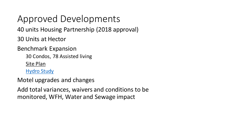Approved Developments

40 units Housing Partnership (2018 approval)

30 Units at Hector

Benchmark Expansion

30 Condos, 78 Assisted living

Site Plan

Hydro Study

Motel upgrades and changes

Add total variances, waivers and conditions to be monitored, WFH, Water and Sewage impact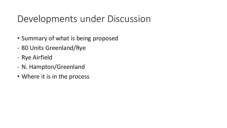## Developments under Discussion

- Summary of what is being proposed
- 80 Units Greenland/Rye
- Rye Airfield
- N. Hampton/Greenland
- Where it is in the process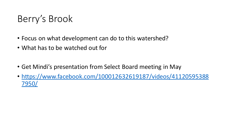## Berry's Brook

- Focus on what development can do to this watershed?
- What has to be watched out for
- Get Mindi's presentation from Select Board meeting in May
- https://www.facebook.com/100012632619187/videos/41120595388 7950/